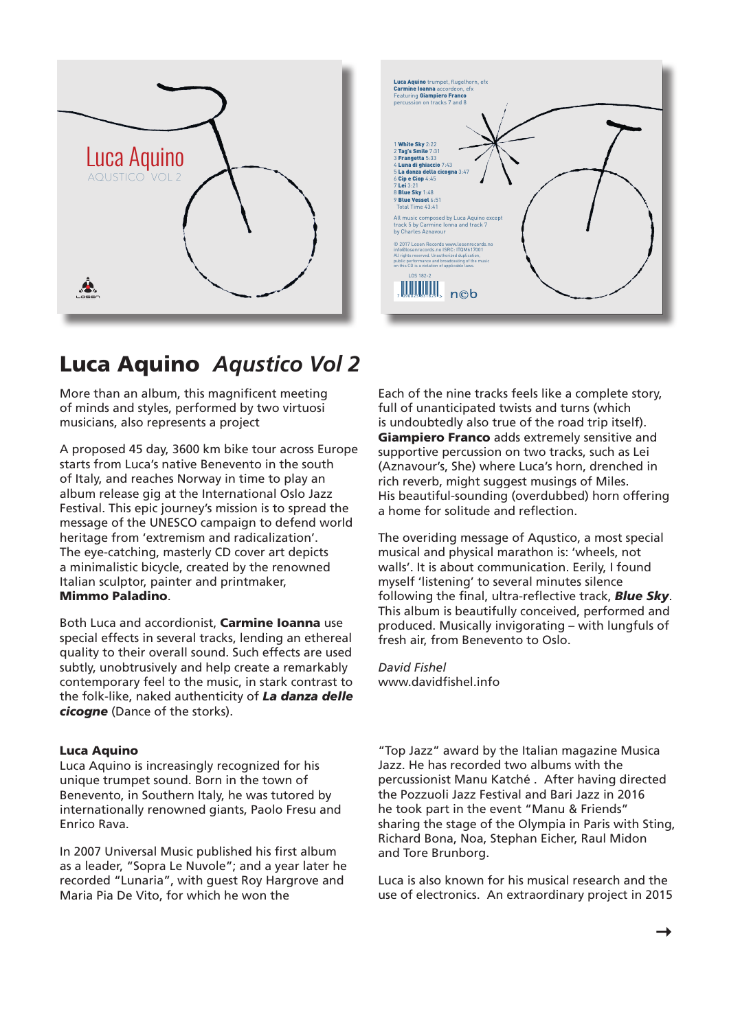



## Luca Aquino *Aqustico Vol 2*

More than an album, this magnificent meeting of minds and styles, performed by two virtuosi musicians, also represents a project

A proposed 45 day, 3600 km bike tour across Europe starts from Luca's native Benevento in the south of Italy, and reaches Norway in time to play an album release gig at the International Oslo Jazz Festival. This epic journey's mission is to spread the message of the UNESCO campaign to defend world heritage from 'extremism and radicalization'. The eye-catching, masterly CD cover art depicts a minimalistic bicycle, created by the renowned Italian sculptor, painter and printmaker, Mimmo Paladino.

Both Luca and accordionist, Carmine Ioanna use special effects in several tracks, lending an ethereal quality to their overall sound. Such effects are used subtly, unobtrusively and help create a remarkably contemporary feel to the music, in stark contrast to the folk-like, naked authenticity of *La danza delle cicogne* (Dance of the storks).

## Luca Aquino

Luca Aquino is increasingly recognized for his unique trumpet sound. Born in the town of Benevento, in Southern Italy, he was tutored by internationally renowned giants, Paolo Fresu and Enrico Rava.

In 2007 Universal Music published his first album as a leader, "Sopra Le Nuvole"; and a year later he recorded "Lunaria", with guest Roy Hargrove and Maria Pia De Vito, for which he won the

Each of the nine tracks feels like a complete story, full of unanticipated twists and turns (which is undoubtedly also true of the road trip itself). Giampiero Franco adds extremely sensitive and supportive percussion on two tracks, such as Lei (Aznavour's, She) where Luca's horn, drenched in rich reverb, might suggest musings of Miles. His beautiful-sounding (overdubbed) horn offering a home for solitude and reflection.

The overiding message of Aqustico, a most special musical and physical marathon is: 'wheels, not walls'. It is about communication. Eerily, I found myself 'listening' to several minutes silence following the final, ultra-reflective track, *Blue Sky*. This album is beautifully conceived, performed and produced. Musically invigorating – with lungfuls of fresh air, from Benevento to Oslo.

*David Fishel* www.davidfishel.info

"Top Jazz" award by the Italian magazine Musica Jazz. He has recorded two albums with the percussionist Manu Katché . After having directed the Pozzuoli Jazz Festival and Bari Jazz in 2016 he took part in the event "Manu & Friends" sharing the stage of the Olympia in Paris with Sting, Richard Bona, Noa, Stephan Eicher, Raul Midon and Tore Brunborg.

Luca is also known for his musical research and the use of electronics. An extraordinary project in 2015